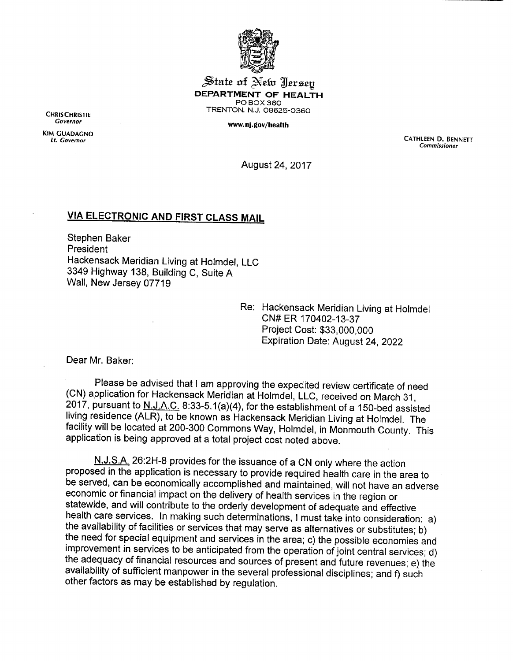

State of New Jersey *DEPARTMENT OF HEALTH* PO BOX 360 TRENTON, N.J. 08625-0360

**Covernor** *www.nj.gov/health*

CHRIS CHRISTIE

*KIM GUADACNO*

*Lt. Governor CATHLEEN D. BENNETT Commissioner*

August 24, 2017

## *VIA ELECTRONIC AND FIRST CLASS MAIL*

Stephen Baker President Hackensack Meridian Living at Holmdel, LLC 3349 Highway 138, Building C, Suite A Wall, New Jersey 07719

> Re: Hackensack Meridian Living at Holmdel CN#ER 170402-13-37 Project Cost: \$33,000,000 Expiration Date: August 24, 2022

Dear Mr. Baker:

Please be advised that I am approving the expedited review certificate of need (CN) application for Hackensack Meridian at Holmdel, LLC, received on March 31 2017, pursuant to  $N.J.A.C.$  8:33-5.1(a)(4), for the establishment of a 150-bed assisted living residence (ALR), to be known as Hackensack Meridian Living at Holmdel. The facility will be located at 200-300 Commons Way, Holmdel, in Monmouth County. This application is being approved at a total project cost noted above.

N.J.S.A. 26:2H-8 provides for the issuance of a CN only where the action proposed in the application is necessary to provide required health care in the area to be served, can be economically accomplished and maintained, will not have an adverse economic or financial impact on the delivery of health services in the region or statewide, and will contribute to the orderly development of adequate and effective<br>health care services. In making such determinations, I must take into consideration: a) the availability of facilities or services that may serve as alternatives or substitutes; b) the need for special equipment and services in the area; c) the possible economies and<br>improvement in services to be anticipated from the operation of joint central services; d) the adequacy of financial resources and sources of present and future revenues; e) the availability of sufficient manpower in the several professional disciplines; and f) such other factors as may be established by regulation.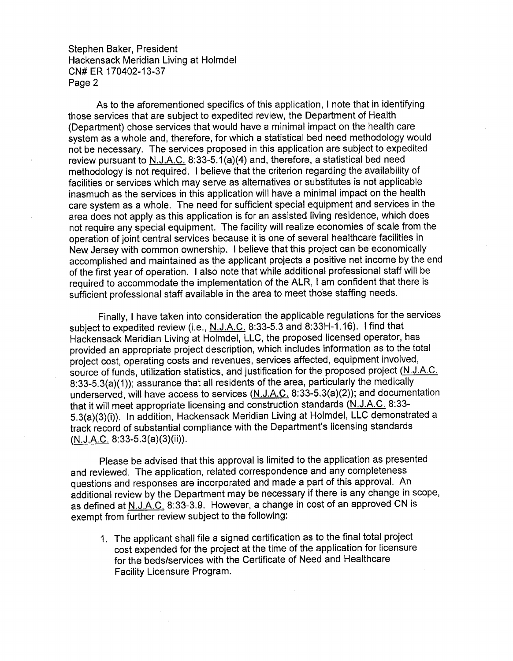Stephen Baker, President Hackensack Meridian Living at Holmdel CN#ER 170402-13-37 Page 2

As to the aforementioned specifics of this application, I note that in identifying those services that are subject to expedited review, the Department of Health (Department) chose services that would have a minimal impact on the health care system as a whole and, therefore, for which a statistical bed need methodology would not be necessary. The services proposed in this application are subject to expedited review pursuant to N.J.A.C. 8:33-5.1(a)(4) and, therefore, a statistical bed need methodology is not required. I believe that the criterion regarding the availability of facilities or services which may serve as alternatives or substitutes is not applicable inasmuch as the services in this application will have a minimal impact on the health care system as a whole. The need for sufficient special equipment and services in the area does not apply as this application is for an assisted living residence, which does not require any special equipment. The facility will realize economies of scale from the operation of joint central services because it is one of several healthcare facilities in New Jersey with common ownership. I believe that this project can be economically accomplished and maintained as the applicant projects a positive net income bythe end of the first year of operation. I also note that while additional professional staff will be required to accommodate the implementation of the ALR, I am confident that there is sufficient professional staff available in the area to meet those staffing needs.

Finally, I have taken into consideration the applicable regulations for the services subject to expedited review (i.e., N.J.A.C. 8:33-5.3 and 8:33H-1.16). I find that Hackensack Meridian Living at Holmdel, LLC, the proposed licensed operator, has provided an appropriate project description, which includes information as to the total project cost, operating costs and revenues, services affected, equipment involved, source of funds, utilization statistics, and justification for the proposed project (N.J.A.C.  $8:33-5.3(a)(1)$ ; assurance that all residents of the area, particularly the medically underserved, will have access to services (N.J.A.C. 8:33-5.3(a)(2)); and documentation that it will meet appropriate licensing and construction standards (N.J.A.C. 8:33- 5.3(a)(3)(i)). In addition, Hackensack Meridian Living at Holmdel, LLC demonstrated a track record of substantial compliance with the Department's licensing standards (N.J.A.C. 8:33-5.3(a)(3)(ii)).

Please be advised that this approval is limited to the application as presented and reviewed. The application, related correspondence and any completeness questions and responses are incorporated and made a part ofthis approval. An additional review by the Department may be necessary if there is any change in scope, as defined at N.J.A.C. 8:33-3.9. However, a change in cost of an approved CN is exempt from further review subject to the following:

1. The applicant shall file a signed certification as to the final total project cost expended for the project at the time of the application for licensure for the beds/services with the Certificate of Need and Healthcare Facility Licensure Program.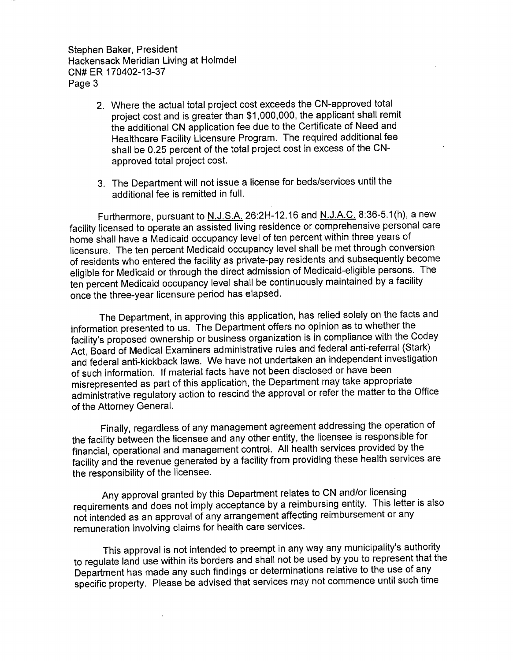Stephen Baker, President Hackensack Meridian Living at Holmdel CN#ER 170402-13-37 Page 3

- 2. Where the actual total project cost exceeds the CN-approved total project cost and is greater than \$1,000,000, the applicant shall remit the additional CN application fee due to the Certificate of Need and Healthcare Facility Licensure Program. The required additional fee shall be 0.25 percent of the total project cost in excess of the CNapproved total project cost.
- 3. The Department will not issue a license for beds/services until the additional fee is remitted in full.

Furthermore, pursuant to N.J.S.A. 26:2H-12.16 and N.J.A.C. 8:36-5.1(h), a new facility licensed to operate an assisted living residence or comprehensive personal care home shall have a Medicaid occupancy level of ten percent within three years of licensure. The ten percent Medicaid occupancy level shall be met through conversion ofresidents who entered the facility as private-pay residents and subsequently become eligible for Medicaid or through the direct admission of Medicaid-eligible persons. The ten percent Medicaid occupancy level shall be continuously maintained by a facility once the three-year licensure period has elapsed.

The Department, in approving this application, has relied solely on the facts and information presented to us. The Department offers no opinion as to whether the facility's proposed ownership or business organization is in compliance with the Codey Act, Board of Medical Examiners administrative rules and federal anti-referral (Stark) and federal anti-kickback laws. We have not undertaken an independent investigation of such information. If material facts have not been disclosed or have been administrative regulatory action to rescind the approval or refer the matter to the Office of the Attorney General.

Finally, regardless of any management agreement addressing the operation of the facility between the licensee and any other entity, the licensee is responsible for financial, operational and management control. All health services provided by the facility and the revenue generated by a facility from providing these health services are the responsibility of the licensee.

Any approval granted by this Department relates to CN and/or licensing requirements and does not imply acceptance by <sup>a</sup> reimbursing entity. This letter is also not intended as an approval of any arrangement affecting reimbursement or any remuneration involving claims for health care services.

This approval is not intended to preempt in any way any municipality's authority to regulate land use within its borders and shall not be used by you to represent that the Department has made any such findings or determinations relative to the use of any specific property. Please be advised that services may not commence until such time